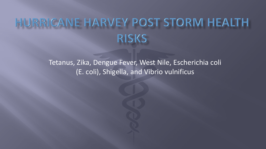# RRICANE HARVEY POST STORM HEALTH **RISKS**

Tetanus, Zika, Dengue Fever, West Nile, Escherichia coli (E. coli), Shigella, and Vibrio vulnificus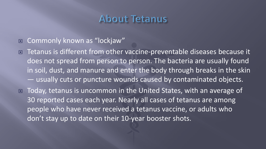## About Tetanus

■ Commonly known as "lockjaw"

■ Tetanus is different from other vaccine-preventable diseases because it does not spread from person to person. The bacteria are usually found in soil, dust, and manure and enter the body through breaks in the skin — usually cuts or puncture wounds caused by contaminated objects.

■ Today, tetanus is uncommon in the United States, with an average of 30 reported cases each year. Nearly all cases of tetanus are among people who have never received a tetanus vaccine, or adults who don't stay up to date on their 10-year booster shots.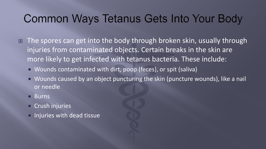## Common Ways Tetanus Gets Into Your Body

- The spores can get into the body through broken skin, usually through injuries from contaminated objects. Certain breaks in the skin are more likely to get infected with tetanus bacteria. These include:
	- Wounds contaminated with dirt, poop (feces), or spit (saliva)
	- Wounds caused by an object puncturing the skin (puncture wounds), like a nail or needle
	- Burns
	- **Crush injuries**
	- **Injuries with dead tissue**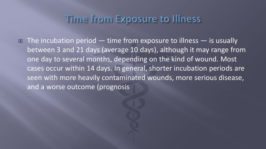### Time from Exposure to Illness

 $\Box$  The incubation period — time from exposure to illness — is usually between 3 and 21 days (average 10 days), although it may range from one day to several months, depending on the kind of wound. Most cases occur within 14 days. In general, shorter incubation periods are seen with more heavily contaminated wounds, more serious disease, and a worse outcome (prognosis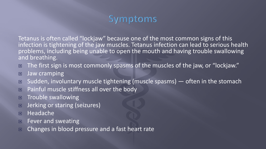### Symptoms

Tetanus is often called "lockjaw" because one of the most common signs of this infection is tightening of the jaw muscles. Tetanus infection can lead to serious health problems, including being unable to open the mouth and having trouble swallowing and breathing.

- $\Box$  The first sign is most commonly spasms of the muscles of the jaw, or "lockjaw."
- **D** Jaw cramping
- □ Sudden, involuntary muscle tightening (muscle spasms) often in the stomach
- Painful muscle stiffness all over the body
- $\Box$  Trouble swallowing
- **D** Jerking or staring (seizures)
- **E** Headache
- $\blacksquare$  Fever and sweating
- Changes in blood pressure and a fast heart rate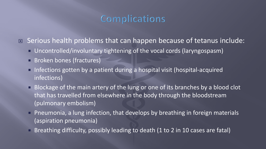### Complications

■ Serious health problems that can happen because of tetanus include:

- Uncontrolled/involuntary tightening of the vocal cords (laryngospasm)
- **Broken bones (fractures)**
- Infections gotten by a patient during a hospital visit (hospital-acquired infections)
- **Blockage of the main artery of the lung or one of its branches by a blood clot** that has travelled from elsewhere in the body through the bloodstream (pulmonary embolism)
- Pneumonia, a lung infection, that develops by breathing in foreign materials (aspiration pneumonia)
- Breathing difficulty, possibly leading to death (1 to 2 in 10 cases are fatal)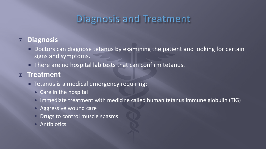## Diagnosis and Treatment

### **Diagnosis**

- **Doctors can diagnose tetanus by examining the patient and looking for certain** signs and symptoms.
- **There are no hospital lab tests that can confirm tetanus.**

### **Treatment**

- $\blacksquare$  Tetanus is a medical emergency requiring:
	- Care in the hospital
	- Immediate treatment with medicine called human tetanus immune globulin (TIG)
	- Aggressive wound care
	- **Drugs to control muscle spasms**
	- Antibiotics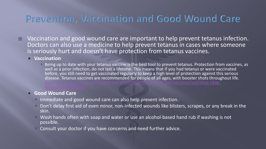### Prevention, Vaccination and Good Wound Care

□ Vaccination and good wound care are important to help prevent tetanus infection. Doctors can also use a medicine to help prevent tetanus in cases where someone is seriously hurt and doesn't have protection from tetanus vaccines.

#### **Vaccination**

Being up to date with your tetanus vaccine is the best tool to prevent tetanus. Protection from vaccines, as well as a prior infection, do not last a lifetime. This means that if you had tetanus or were vaccinated before, you still need to get vaccinated regularly to keep a high level of protection against this serious disease. Tetanus vaccines are recommended for people of all ages, with booster shots throughout life. arn who needs to be vaccinated and when(https://www.cdc.gov/vaccines/vpd/dtap-tdap-<br> public/index.html).

#### **Good Wound Care**

- Immediate and good wound care can also help prevent infection.
- Don't delay first aid of even minor, non-infected wounds like blisters, scrapes, or any break in the skin.
- Wash hands often with soap and water or use an alcohol-based hand rub if washing is not possible.
- Consult your doctor if you have concerns and need further advice.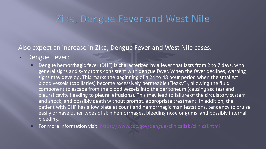### Zika, Dengue Fever and West Nile

Also expect an increase in Zika, Dengue Fever and West Nile cases.

Dengue Fever:

- Dengue hemorrhagic fever (DHF) is characterized by a fever that lasts from 2 to 7 days, with general signs and symptoms consistent with dengue fever. When the fever declines, warning signs may develop. This marks the beginning of a 24 to 48 hour period when the smallest blood vessels (capillaries) become excessively permeable ("leaky"), allowing the fluid component to escape from the blood vessels into the peritoneum (causing ascites) and pleural cavity (leading to pleural effusions). This may lead to failure of the circulatory system and shock, and possibly death without prompt, appropriate treatment. In addition, the patient with DHF has a low platelet count and hemorrhagic manifestations, tendency to bruise easily or have other types of skin hemorrhages, bleeding nose or gums, and possibly internal bleeding.
- For more information visit: <https://www.cdc.gov/dengue/clinicallab/clinical.html>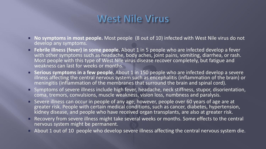## West Nile Virus

- **No symptoms in most people.** Most people (8 out of 10) infected with West Nile virus do not develop any symptoms.
- **Febrile illness (fever) in some people.** About 1 in 5 people who are infected develop a fever with other symptoms such as headache, body aches, joint pains, vomiting, diarrhea, or rash. Most people with this type of West Nile virus disease recover completely, but fatigue and weakness can last for weeks or months.
- **Serious symptoms in a few people.** About 1 in 150 people who are infected develop a severe illness affecting the central nervous system such as encephalitis (inflammation of the brain) or meningitis (inflammation of the membranes that surround the brain and spinal cord).
- Symptoms of severe illness include high fever, headache, neck stiffness, stupor, disorientation, coma, tremors, convulsions, muscle weakness, vision loss, numbness and paralysis.
- Severe illness can occur in people of any age; however, people over 60 years of age are at greater risk. People with certain medical conditions, such as cancer, diabetes, hypertension, kidney disease, and people who have received organ transplants, are also at greater risk.
- Recovery from severe illness might take several weeks or months. Some effects to the central nervous system might be permanent.
- About 1 out of 10 people who develop severe illness affecting the central nervous system die.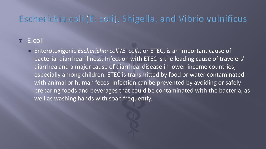### Escherichia coli (E. coli), Shigella, and Vibrio vulnificus

### E.coli

■ Enterotoxigenic *Escherichia coli (E. coli)*, or ETEC, is an important cause of bacterial diarrheal illness. Infection with ETEC is the leading cause of travelers' diarrhea and a major cause of diarrheal disease in lower-income countries, especially among children. ETEC is transmitted by food or water contaminated with animal or human feces. Infection can be prevented by avoiding or safely preparing foods and beverages that could be contaminated with the bacteria, as well as washing hands with soap frequently.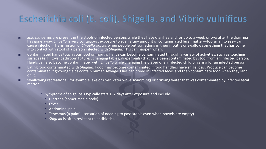### Escherichia coli (E. coli), Shigella, and Vibrio vulnificus

- *Shigella* germs are present in the stools of infected persons while they have diarrhea and for up to a week or two after the diarrhea has gone away. *Shigella* is very contagious; exposure to even a tiny amount of contaminated fecal matter—too small to see– can cause infection. Transmission of *Shigella* occurs when people put something in their mouths or swallow something that has come into contact with stool of a person infected with *Shigella.* This can happen when:
- **EXP** Contaminated hands touch your food or mouth. Hands can become contaminated through a variety of activities, such as touching surfaces (e.g., toys, bathroom fixtures, changing tables, diaper pails) that have been contaminated by stool from an infected person. Hands can also become contaminated with *Shigella* while changing the diaper of an infected child or caring for an infected person.
- Eating food contaminated with *Shigella*. Food may become contaminated if food handlers have shigellosis. Produce can become contaminated if growing fields contain human sewage. Flies can breed in infected feces and then contaminate food when they land on it.
- $\Box$  Swallowing recreational (for example lake or river water while swimming) or drinking water that was contaminated by infected fecal matter.
	- Symptoms of shigellosis typically start 1–2 days after exposure and include:
		- Diarrhea (sometimes bloody)
		- $F$  Fever
		- Abdominal pain
		- Tenesmus (a painful sensation of needing to pass stools even when bowels are empty)
		- *Shigella* is often resistant to antibiotics.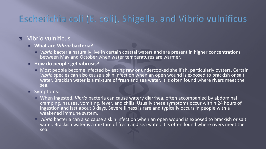## Escherichia coli (E. coli), Shigella, and Vibrio vulnificus

### **E** Vibrio vulnificus

- **What are** *Vibrio* **bacteria?**
	- *Vibrio* bacteria naturally live in certain coastal waters and are present in higher concentrations between May and October when water temperatures are warmer.
- **How do people get vibrosis?** 
	- **Most people become infected by eating raw or undercooked shellfish, particularly oysters. Certain** *Vibrio* species can also cause a skin infection when an open wound is exposed to brackish or salt water. Brackish water is a mixture of fresh and sea water. It is often found where rivers meet the sea.
- Symptoms:
	- When ingested, *Vibrio* bacteria can cause watery diarrhea, often accompanied by abdominal cramping, nausea, vomiting, fever, and chills. Usually these symptoms occur within 24 hours of ingestion and last about 3 days. Severe illness is rare and typically occurs in people with a weakened immune system.
	- *Vibrio* bacteria can also cause a skin infection when an open wound is exposed to brackish or salt water. Brackish water is a mixture of fresh and sea water. It is often found where rivers meet the sea.